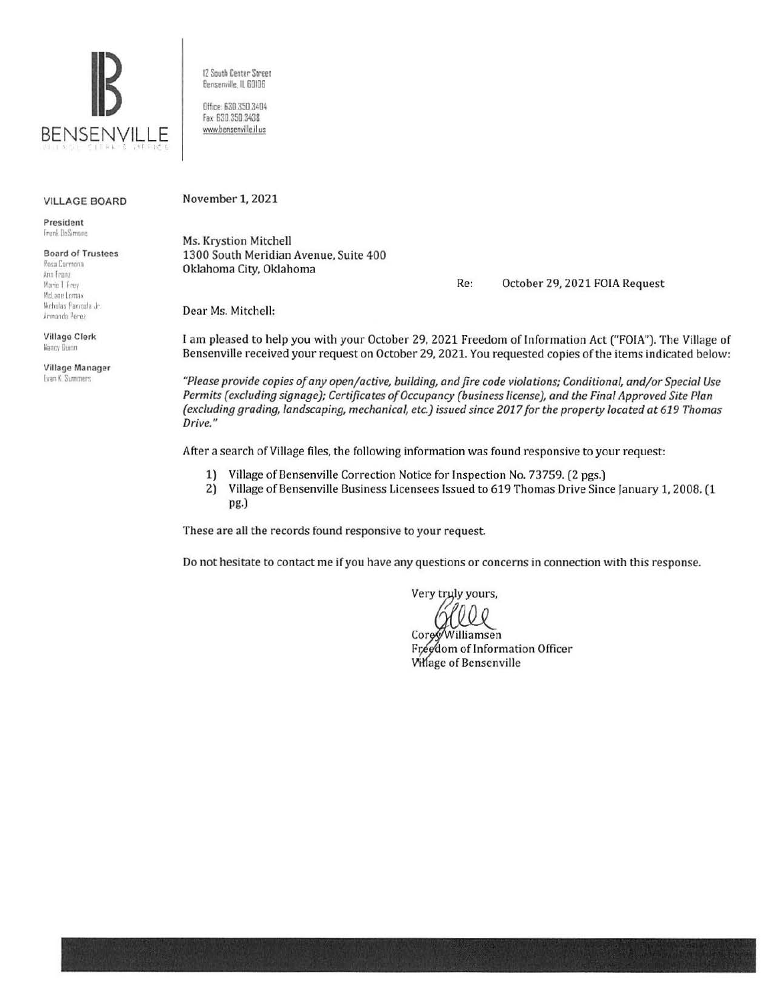

12 South Center Street Bensenville, IL 60106

Office: 630.350.3404 Fax: 630.350.3438 www.bensenville.il us

#### **VILLAGE BOARD**

President Frank DeSimone

**Board of Trustees** Rosa Cormona Ann Franz Marie T Frey

McLane Lomax Nicholas Panicola Jr. Armanda Perez

**Village Clerk** Nancy Dunn

Village Manager Evan K. Summers

November 1, 2021

Ms. Krystion Mitchell 1300 South Meridian Avenue, Suite 400 Oklahoma City, Oklahoma

> Re: October 29, 2021 FOIA Request

Dear Ms. Mitchell:

I am pleased to help you with your October 29, 2021 Freedom of Information Act ("FOIA"). The Village of Bensenville received your request on October 29, 2021. You requested copies of the items indicated below:

"Please provide copies of any open/active, building, and fire code violations; Conditional, and/or Special Use Permits (excluding signage); Certificates of Occupancy (business license), and the Final Approved Site Plan (excluding grading, landscaping, mechanical, etc.) issued since 2017 for the property located at 619 Thomas Drive."

After a search of Village files, the following information was found responsive to your request:

- 1) Village of Bensenville Correction Notice for Inspection No. 73759. (2 pgs.)
- 2) Village of Bensenville Business Licensees Issued to 619 Thomas Drive Since January 1, 2008. (1 pg.)

These are all the records found responsive to your request.

Do not hesitate to contact me if you have any questions or concerns in connection with this response.

Very truly yours,

Core Williamsen Freedom of Information Officer **Village of Bensenville**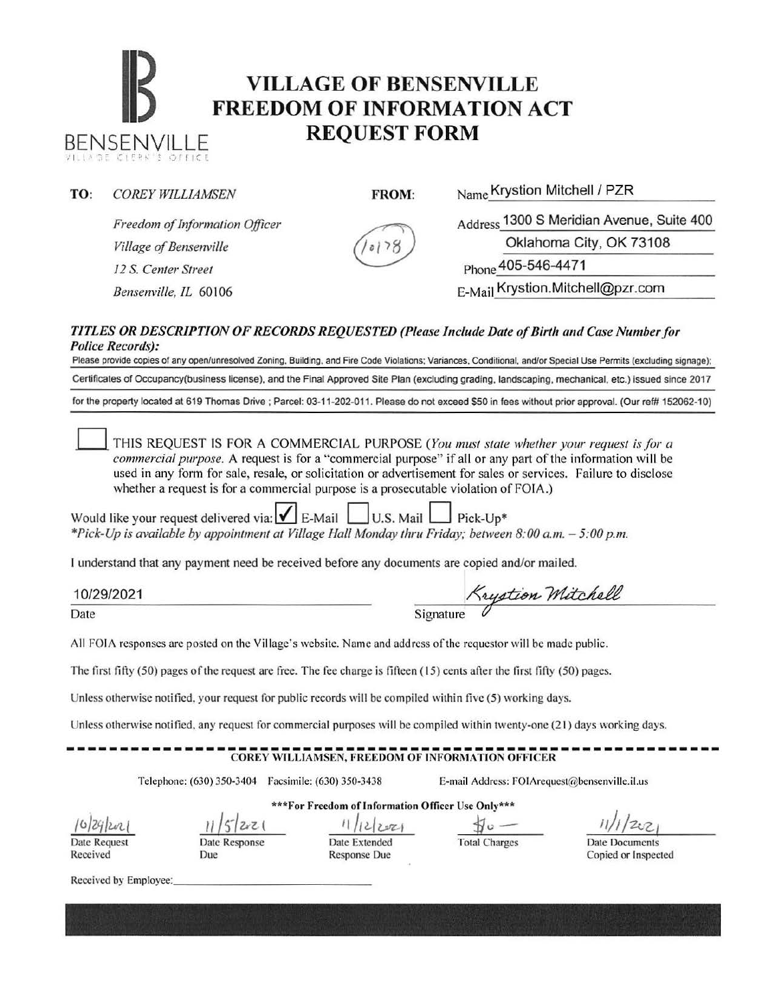# **IB VILLAGE OF BENSENVILLE**<br> **FREEDOM OF INFORMATION ACT BENSENVILLE REQUEST FORM**

| TO:                                                                                                                                                                                                                                                                                                                                                                                                                                                                                                                                                                                                                                                                                                                             | <b>COREY WILLIAMSEN</b>                                                                               | FROM:                                                                                                                            | Name Krystion Mitchell / PZR                                  |  |  |  |  |  |  |
|---------------------------------------------------------------------------------------------------------------------------------------------------------------------------------------------------------------------------------------------------------------------------------------------------------------------------------------------------------------------------------------------------------------------------------------------------------------------------------------------------------------------------------------------------------------------------------------------------------------------------------------------------------------------------------------------------------------------------------|-------------------------------------------------------------------------------------------------------|----------------------------------------------------------------------------------------------------------------------------------|---------------------------------------------------------------|--|--|--|--|--|--|
|                                                                                                                                                                                                                                                                                                                                                                                                                                                                                                                                                                                                                                                                                                                                 | Freedom of Information Officer                                                                        |                                                                                                                                  | Address 1300 S Meridian Avenue, Suite 400                     |  |  |  |  |  |  |
|                                                                                                                                                                                                                                                                                                                                                                                                                                                                                                                                                                                                                                                                                                                                 | Village of Bensenville                                                                                |                                                                                                                                  | Oklahoma City, OK 73108<br>Phone 405-546-4471                 |  |  |  |  |  |  |
|                                                                                                                                                                                                                                                                                                                                                                                                                                                                                                                                                                                                                                                                                                                                 | 12 S. Center Street                                                                                   |                                                                                                                                  |                                                               |  |  |  |  |  |  |
|                                                                                                                                                                                                                                                                                                                                                                                                                                                                                                                                                                                                                                                                                                                                 | Bensenville, IL 60106                                                                                 |                                                                                                                                  | E-Mail Krystion.Mitchell@pzr.com                              |  |  |  |  |  |  |
| TITLES OR DESCRIPTION OF RECORDS REQUESTED (Please Include Date of Birth and Case Number for<br><b>Police Records):</b><br>Please provide copies of any open/unresolved Zoning, Building, and Fire Code Violations; Variances, Conditional, and/or Special Use Permits (excluding signage);<br>Certificates of Occupancy(business license), and the Final Approved Site Plan (excluding grading, landscaping, mechanical, etc.) issued since 2017                                                                                                                                                                                                                                                                               |                                                                                                       |                                                                                                                                  |                                                               |  |  |  |  |  |  |
| for the property located at 619 Thomas Drive ; Parcel: 03-11-202-011. Please do not exceed \$50 in fees without prior approval. (Our ref# 152062-10)                                                                                                                                                                                                                                                                                                                                                                                                                                                                                                                                                                            |                                                                                                       |                                                                                                                                  |                                                               |  |  |  |  |  |  |
| THIS REQUEST IS FOR A COMMERCIAL PURPOSE (You must state whether your request is for a<br>commercial purpose. A request is for a "commercial purpose" if all or any part of the information will be<br>used in any form for sale, resale, or solicitation or advertisement for sales or services. Failure to disclose<br>whether a request is for a commercial purpose is a prosecutable violation of FOIA.)<br>Would like your request delivered via: $\boxed{\bigcup}$ E-Mail U.S. Mail $\boxed{\bigcup}$ Pick-Up*<br>*Pick-Up is available by appointment at Village Hall Monday thru Friday; between 8:00 a.m. - 5:00 p.m.<br>I understand that any payment need be received before any documents are copied and/or mailed. |                                                                                                       |                                                                                                                                  |                                                               |  |  |  |  |  |  |
|                                                                                                                                                                                                                                                                                                                                                                                                                                                                                                                                                                                                                                                                                                                                 |                                                                                                       |                                                                                                                                  |                                                               |  |  |  |  |  |  |
|                                                                                                                                                                                                                                                                                                                                                                                                                                                                                                                                                                                                                                                                                                                                 | 10/29/2021                                                                                            |                                                                                                                                  | Krystion Mitchell                                             |  |  |  |  |  |  |
| Date                                                                                                                                                                                                                                                                                                                                                                                                                                                                                                                                                                                                                                                                                                                            |                                                                                                       | Signature                                                                                                                        |                                                               |  |  |  |  |  |  |
|                                                                                                                                                                                                                                                                                                                                                                                                                                                                                                                                                                                                                                                                                                                                 |                                                                                                       | All FOIA responses are posted on the Village's website. Name and address of the requestor will be made public.                   |                                                               |  |  |  |  |  |  |
|                                                                                                                                                                                                                                                                                                                                                                                                                                                                                                                                                                                                                                                                                                                                 |                                                                                                       | The first fifty $(50)$ pages of the request are free. The fee charge is fifteen $(15)$ cents after the first fifty $(50)$ pages. |                                                               |  |  |  |  |  |  |
| Unless otherwise notified, your request for public records will be compiled within five (5) working days.                                                                                                                                                                                                                                                                                                                                                                                                                                                                                                                                                                                                                       |                                                                                                       |                                                                                                                                  |                                                               |  |  |  |  |  |  |
| Unless otherwise notified, any request for commercial purposes will be compiled within twenty-one (21) days working days.                                                                                                                                                                                                                                                                                                                                                                                                                                                                                                                                                                                                       |                                                                                                       |                                                                                                                                  |                                                               |  |  |  |  |  |  |
| <b>COREY WILLIAMSEN, FREEDOM OF INFORMATION OFFICER</b>                                                                                                                                                                                                                                                                                                                                                                                                                                                                                                                                                                                                                                                                         |                                                                                                       |                                                                                                                                  |                                                               |  |  |  |  |  |  |
|                                                                                                                                                                                                                                                                                                                                                                                                                                                                                                                                                                                                                                                                                                                                 | E-mail Address: FOIArequest@bensenville.il.us<br>Telephone: (630) 350-3404  Facsimile: (630) 350-3438 |                                                                                                                                  |                                                               |  |  |  |  |  |  |
| *** For Freedom of Information Officer Use Only***                                                                                                                                                                                                                                                                                                                                                                                                                                                                                                                                                                                                                                                                              |                                                                                                       |                                                                                                                                  |                                                               |  |  |  |  |  |  |
|                                                                                                                                                                                                                                                                                                                                                                                                                                                                                                                                                                                                                                                                                                                                 | 2z1                                                                                                   | 2221                                                                                                                             |                                                               |  |  |  |  |  |  |
| Date Request<br>Received                                                                                                                                                                                                                                                                                                                                                                                                                                                                                                                                                                                                                                                                                                        | Date Response<br>Due                                                                                  | Date Extended<br><b>Response Due</b>                                                                                             | <b>Total Charges</b><br>Date Documents<br>Copied or Inspected |  |  |  |  |  |  |
|                                                                                                                                                                                                                                                                                                                                                                                                                                                                                                                                                                                                                                                                                                                                 | Received by Employee:                                                                                 |                                                                                                                                  |                                                               |  |  |  |  |  |  |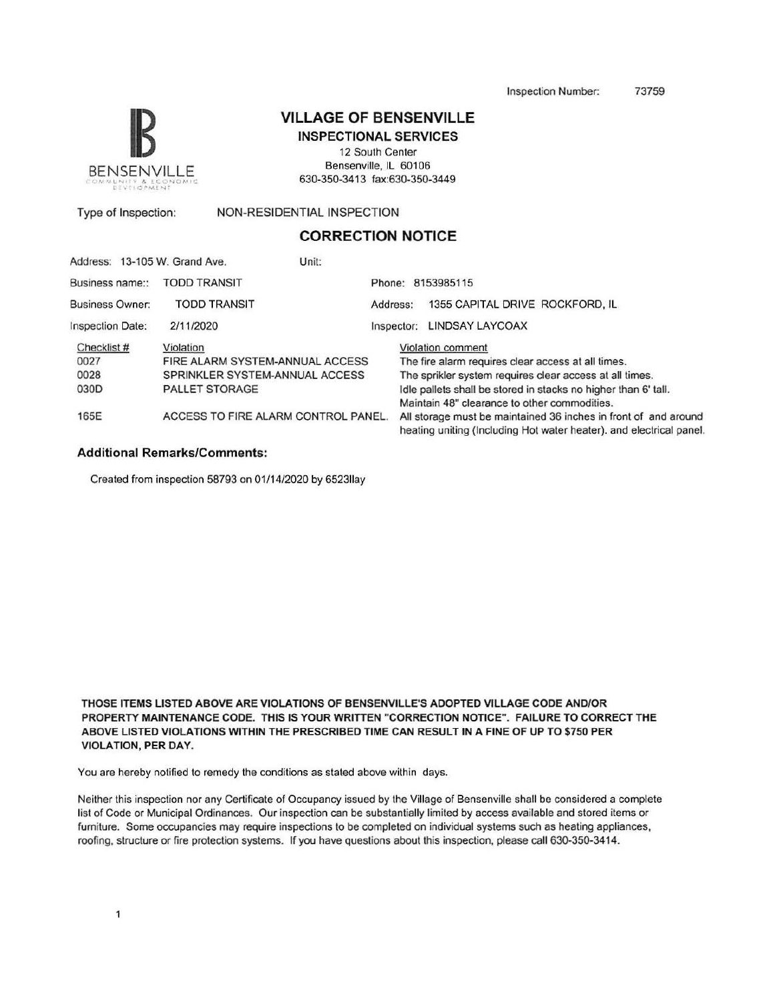Inspection Number: 73759



#### VILLAGE OF BENSENVILLE

INSPECTIONAL SERVICES

12 South Center Bensenville, IL 60106 630-350-3413 fax:630-350-3449

Type of Inspection: NON-RESIDENTIAL INSPECTION

### CORRECTION NOTICE

|                         | Address: 13-105 W. Grand Ave.       | Unit:      |                                                                                                                                        |  |  |
|-------------------------|-------------------------------------|------------|----------------------------------------------------------------------------------------------------------------------------------------|--|--|
| Business name::         | <b>TODD TRANSIT</b>                 |            | Phone: 8153985115                                                                                                                      |  |  |
| <b>Business Owner:</b>  | <b>TODD TRANSIT</b>                 | Address:   | 1355 CAPITAL DRIVE ROCKFORD, IL                                                                                                        |  |  |
| <b>Inspection Date:</b> | 2/11/2020                           | Inspector: | <b>LINDSAY LAYCOAX</b>                                                                                                                 |  |  |
| Checklist #             | Violation                           |            | Violation comment                                                                                                                      |  |  |
| 0027                    | FIRE ALARM SYSTEM-ANNUAL ACCESS     |            | The fire alarm requires clear access at all times.                                                                                     |  |  |
| 0028                    | SPRINKLER SYSTEM-ANNUAL ACCESS      |            | The sprikler system requires clear access at all times.                                                                                |  |  |
| 030 <sub>D</sub>        | <b>PALLET STORAGE</b>               |            | Idle pallets shall be stored in stacks no higher than 6' tall.                                                                         |  |  |
|                         |                                     |            | Maintain 48" clearance to other commodities.                                                                                           |  |  |
| 165E                    | ACCESS TO FIRE ALARM CONTROL PANEL. |            | All storage must be maintained 36 inches in front of and around<br>heating uniting (Including Hot water heater), and electrical panel. |  |  |

#### Additional Remarks/Comments:

Created from inspection 58793 on 01/14/2020 by 6523llay

THOSE ITEMS LISTED ABOVE ARE VIOLATIONS OF BENSENVILLE'S ADOPTED VILLAGE CODE ANDIOR PROPERTY MAINTENANCE CODE. THIS IS YOUR WRITIEN "CORRECTION NOTICE". FAILURE TO CORRECT THE ABOVE LISTED VIOLATIONS WITHIN THE PRESCRIBED TIME CAN RESULT IN A FINE OF UP TO \$750 PER VIOLATION, PER DAY.

You are hereby notified to remedy the conditions as stated above within days.

Neither this inspection nor any Certificate of Occupancy issued by the Village of Bensenville shall be considered a complete list of Code or Municipal Ordinances. Our inspection can be substantially limited by access available and stored items or furniture. Some occupancies may require inspections to be completed on individual systems such as heating appliances, roofing, structure or fire protection systems. If you have questions about this inspection, please call 630-350-3414.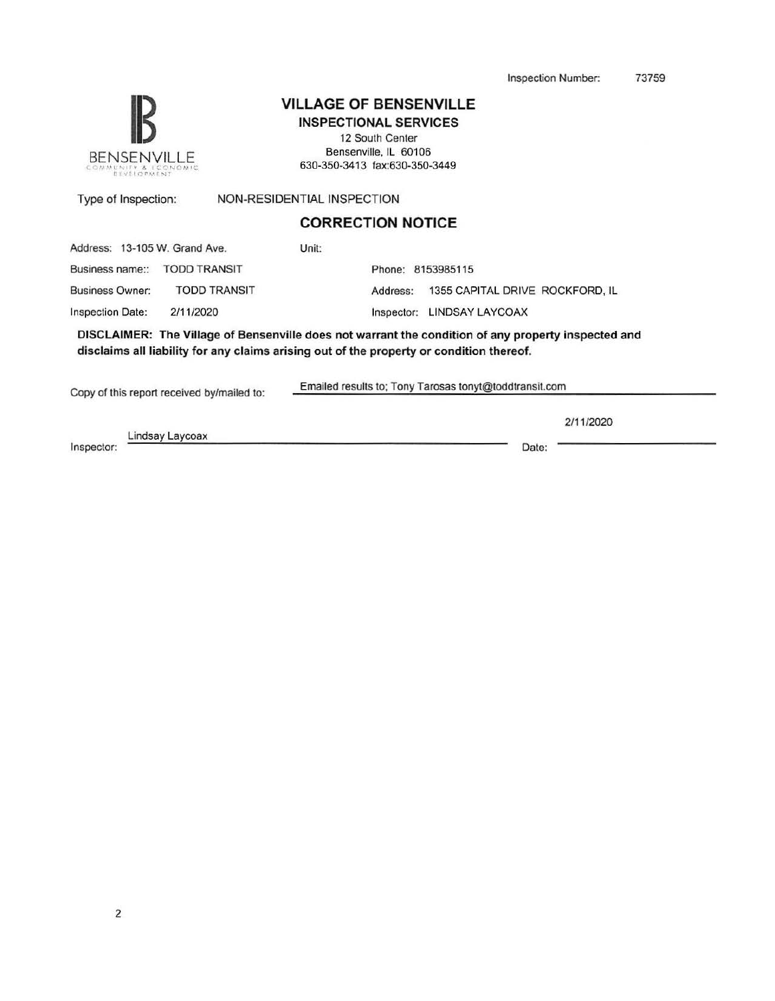Inspection Number: 73759



## **VILLAGE OF BENSENVILLE**

INSPECTIONAL SERVICES 12 South Center Bensenville, IL 60106 630-350-3413 fax:630-350-3449

Type of Inspection: NON-RESIDENTIAL INSPECTION

#### **CORRECTION NOTICE**

Address: 13-105 W. Grand Ave.

Business name:: TODD TRANSIT Phone: 8153985115

Business Owner: TODD TRANSIT

Inspection Date:

Address: 1355 CAPITAL DRIVE ROCKFORD, IL

2/11/2020 Inspector: LINDSAY LAYCOAX

Unit:

DISCLAIMER: The Village of Bensenville does not warrant the condition of any property inspected and disclaims all liability for any claims arising out of the property or condition thereof.

Copy of this report received by/mailed to: Emailed results to; Tony Tarosas tonyt@toddtransit.com

Lindsay Laycoax Inspector: Date: Date: Date: Date: Date: Date: Date: Date: Date: Date: Date: Date: Date: Date: Date: Date: Date: Date: Date: Date: Date: Date: Date: Date: Date: Date: Date: Date: Date: Date: Date: Date: Date: Date: Date: D

2/11/2020